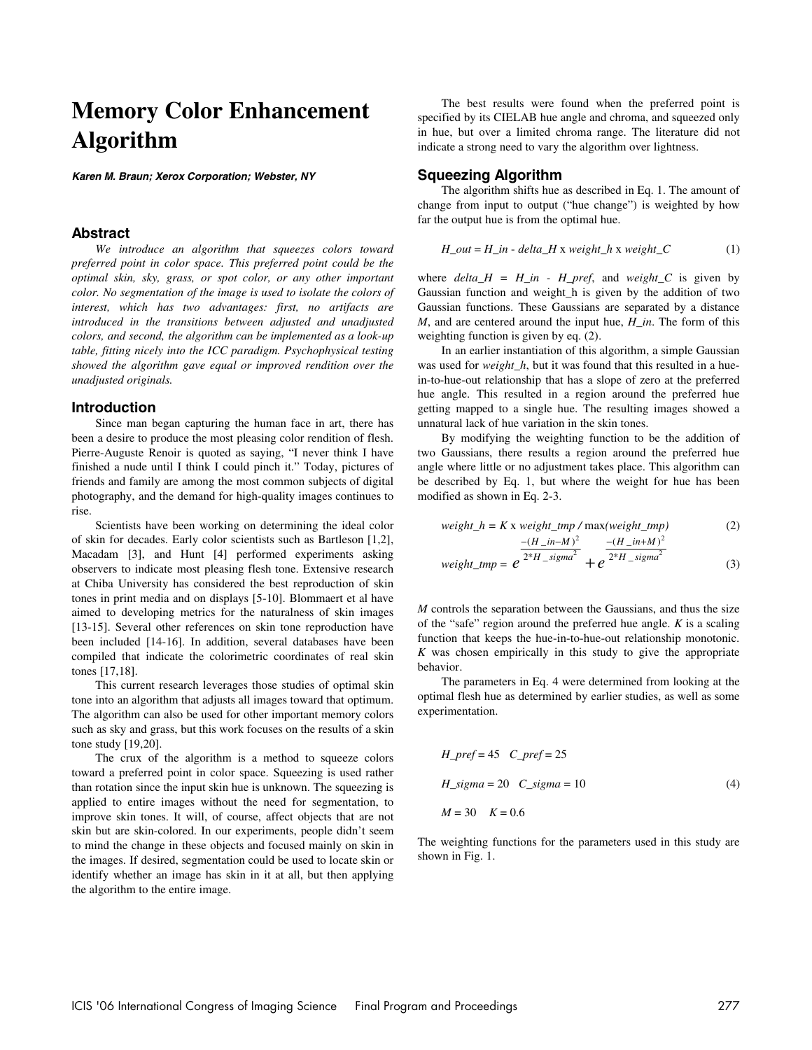# **Memory Color Enhancement Algorithm**

**Karen M. Braun; Xerox Corporation; Webster, NY** 

## **Abstract**

*We introduce an algorithm that squeezes colors toward preferred point in color space. This preferred point could be the optimal skin, sky, grass, or spot color, or any other important color. No segmentation of the image is used to isolate the colors of interest, which has two advantages: first, no artifacts are introduced in the transitions between adjusted and unadjusted colors, and second, the algorithm can be implemented as a look-up table, fitting nicely into the ICC paradigm. Psychophysical testing showed the algorithm gave equal or improved rendition over the unadjusted originals.* 

#### **Introduction**

Since man began capturing the human face in art, there has been a desire to produce the most pleasing color rendition of flesh. Pierre-Auguste Renoir is quoted as saying, "I never think I have finished a nude until I think I could pinch it." Today, pictures of friends and family are among the most common subjects of digital photography, and the demand for high-quality images continues to rise.

Scientists have been working on determining the ideal color of skin for decades. Early color scientists such as Bartleson [1,2], Macadam [3], and Hunt [4] performed experiments asking observers to indicate most pleasing flesh tone. Extensive research at Chiba University has considered the best reproduction of skin tones in print media and on displays [5-10]. Blommaert et al have aimed to developing metrics for the naturalness of skin images [13-15]. Several other references on skin tone reproduction have been included [14-16]. In addition, several databases have been compiled that indicate the colorimetric coordinates of real skin tones [17,18].

This current research leverages those studies of optimal skin tone into an algorithm that adjusts all images toward that optimum. The algorithm can also be used for other important memory colors such as sky and grass, but this work focuses on the results of a skin tone study [19,20].

The crux of the algorithm is a method to squeeze colors toward a preferred point in color space. Squeezing is used rather than rotation since the input skin hue is unknown. The squeezing is applied to entire images without the need for segmentation, to improve skin tones. It will, of course, affect objects that are not skin but are skin-colored. In our experiments, people didn't seem to mind the change in these objects and focused mainly on skin in the images. If desired, segmentation could be used to locate skin or identify whether an image has skin in it at all, but then applying the algorithm to the entire image.

The best results were found when the preferred point is specified by its CIELAB hue angle and chroma, and squeezed only in hue, but over a limited chroma range. The literature did not indicate a strong need to vary the algorithm over lightness.

# **Squeezing Algorithm**

The algorithm shifts hue as described in Eq. 1. The amount of change from input to output ("hue change") is weighted by how far the output hue is from the optimal hue.

$$
H_out = H_in - delta_H \times weight_h \times weight_C
$$
 (1)

where  $delta_H = H_in - H_pref$ , and  $weight_C$  is given by Gaussian function and weight\_h is given by the addition of two Gaussian functions. These Gaussians are separated by a distance *M*, and are centered around the input hue, *H\_in*. The form of this weighting function is given by eq. (2).

In an earlier instantiation of this algorithm, a simple Gaussian was used for *weight\_h*, but it was found that this resulted in a huein-to-hue-out relationship that has a slope of zero at the preferred hue angle. This resulted in a region around the preferred hue getting mapped to a single hue. The resulting images showed a unnatural lack of hue variation in the skin tones.

By modifying the weighting function to be the addition of two Gaussians, there results a region around the preferred hue angle where little or no adjustment takes place. This algorithm can be described by Eq. 1, but where the weight for hue has been modified as shown in Eq. 2-3.

$$
weight_h = K \times weight\_tmp / max(weight\_tmp)
$$
  
-(H\_i - in-M)<sup>2</sup> - (H\_i - in+M)<sup>2</sup>

$$
weight\_tmp = e^{2*H\_sigma^2} + e^{2*H\_sigma^2}
$$
 (3)

*M* controls the separation between the Gaussians, and thus the size of the "safe" region around the preferred hue angle. *K* is a scaling function that keeps the hue-in-to-hue-out relationship monotonic. *K* was chosen empirically in this study to give the appropriate behavior.

The parameters in Eq. 4 were determined from looking at the optimal flesh hue as determined by earlier studies, as well as some experimentation.

$$
H\_pref = 45 \quad C\_pref = 25
$$
  
\n
$$
H\_sigma = 20 \quad C\_sigma = 10
$$
  
\n
$$
M = 30 \quad K = 0.6
$$
\n(4)

The weighting functions for the parameters used in this study are shown in Fig. 1.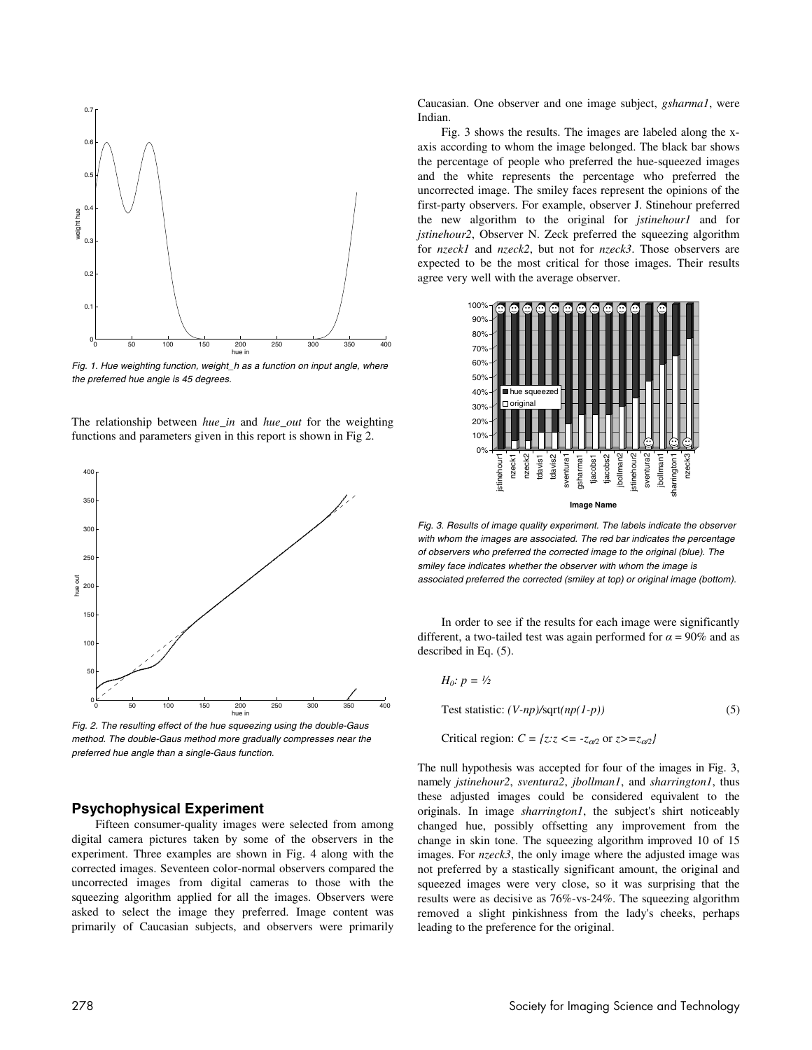

Fig. 1. Hue weighting function, weight\_h as a function on input angle, where the preferred hue angle is 45 degrees.

The relationship between *hue\_in* and *hue\_out* for the weighting functions and parameters given in this report is shown in Fig 2.



Fig. 2. The resulting effect of the hue squeezing using the double-Gaus method. The double-Gaus method more gradually compresses near the preferred hue angle than a single-Gaus function.

### **Psychophysical Experiment**

Fifteen consumer-quality images were selected from among digital camera pictures taken by some of the observers in the experiment. Three examples are shown in Fig. 4 along with the corrected images. Seventeen color-normal observers compared the uncorrected images from digital cameras to those with the squeezing algorithm applied for all the images. Observers were asked to select the image they preferred. Image content was primarily of Caucasian subjects, and observers were primarily Caucasian. One observer and one image subject, *gsharma1*, were Indian.

Fig. 3 shows the results. The images are labeled along the xaxis according to whom the image belonged. The black bar shows the percentage of people who preferred the hue-squeezed images and the white represents the percentage who preferred the uncorrected image. The smiley faces represent the opinions of the first-party observers. For example, observer J. Stinehour preferred the new algorithm to the original for *jstinehour1* and for *jstinehour2*, Observer N. Zeck preferred the squeezing algorithm for *nzeck1* and *nzeck2*, but not for *nzeck3*. Those observers are expected to be the most critical for those images. Their results agree very well with the average observer.



Fig. 3. Results of image quality experiment. The labels indicate the observer with whom the images are associated. The red bar indicates the percentage of observers who preferred the corrected image to the original (blue). The smiley face indicates whether the observer with whom the image is associated preferred the corrected (smiley at top) or original image (bottom).

In order to see if the results for each image were significantly different, a two-tailed test was again performed for  $\alpha = 90\%$  and as described in Eq. (5).

*H*<sub>0</sub>: 
$$
p = \frac{1}{2}
$$

Test statistic: 
$$
(V \text{-} np) / \sqrt{\sqrt{\cdot}} p(l - p)
$$
 (5)

Critical region:  $C = \{z: z \leq -z_{\alpha/2} \text{ or } z \geq -z_{\alpha/2}\}\$ 

The null hypothesis was accepted for four of the images in Fig. 3, namely *jstinehour2*, *sventura2*, *jbollman1*, and *sharrington1*, thus these adjusted images could be considered equivalent to the originals. In image *sharrington1*, the subject's shirt noticeably changed hue, possibly offsetting any improvement from the change in skin tone. The squeezing algorithm improved 10 of 15 images. For *nzeck3*, the only image where the adjusted image was not preferred by a stastically significant amount, the original and squeezed images were very close, so it was surprising that the results were as decisive as 76%-vs-24%. The squeezing algorithm removed a slight pinkishness from the lady's cheeks, perhaps leading to the preference for the original.